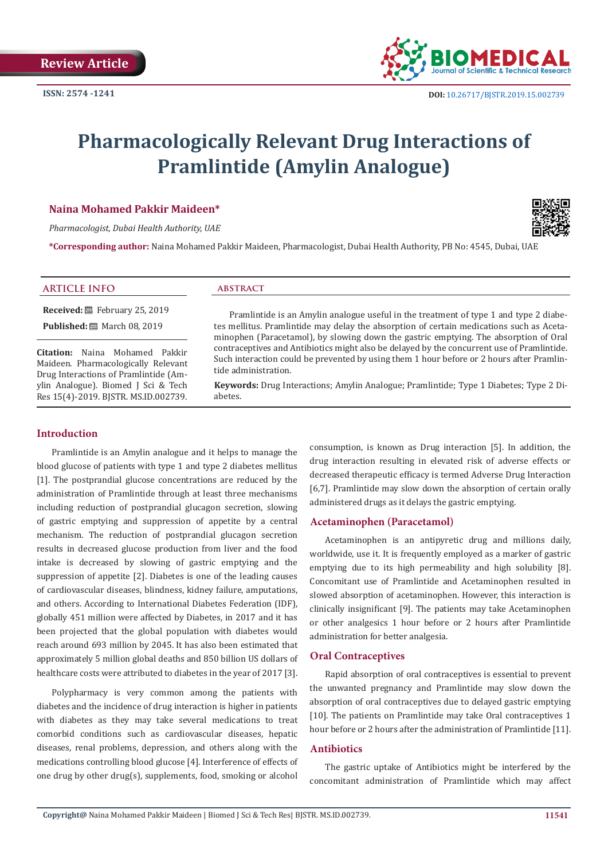

# **Pharmacologically Relevant Drug Interactions of Pramlintide (Amylin Analogue)**

# **Naina Mohamed Pakkir Maideen\***

*Pharmacologist, Dubai Health Authority, UAE*

**\*Corresponding author:** Naina Mohamed Pakkir Maideen, Pharmacologist, Dubai Health Authority, PB No: 4545, Dubai, UAE

## **ARTICLE INFO abstract**

**Received:** February 25, 2019

**Published:** ■ March 08, 2019

**Citation:** Naina Mohamed Pakkir Maideen. Pharmacologically Relevant Drug Interactions of Pramlintide (Amylin Analogue). Biomed J Sci & Tech Res 15(4)-2019. BJSTR. MS.ID.002739.

# **Introduction**

Pramlintide is an Amylin analogue and it helps to manage the blood glucose of patients with type 1 and type 2 diabetes mellitus [1]. The postprandial glucose concentrations are reduced by the administration of Pramlintide through at least three mechanisms including reduction of postprandial glucagon secretion, slowing of gastric emptying and suppression of appetite by a central mechanism. The reduction of postprandial glucagon secretion results in decreased glucose production from liver and the food intake is decreased by slowing of gastric emptying and the suppression of appetite [2]. Diabetes is one of the leading causes of cardiovascular diseases, blindness, kidney failure, amputations, and others. According to International Diabetes Federation (IDF), globally 451 million were affected by Diabetes, in 2017 and it has been projected that the global population with diabetes would reach around 693 million by 2045. It has also been estimated that approximately 5 million global deaths and 850 billion US dollars of healthcare costs were attributed to diabetes in the year of 2017 [3].

Polypharmacy is very common among the patients with diabetes and the incidence of drug interaction is higher in patients with diabetes as they may take several medications to treat comorbid conditions such as cardiovascular diseases, hepatic diseases, renal problems, depression, and others along with the medications controlling blood glucose [4]. Interference of effects of one drug by other drug(s), supplements, food, smoking or alcohol

Pramlintide is an Amylin analogue useful in the treatment of type 1 and type 2 diabe-

tes mellitus. Pramlintide may delay the absorption of certain medications such as Acetaminophen (Paracetamol), by slowing down the gastric emptying. The absorption of Oral contraceptives and Antibiotics might also be delayed by the concurrent use of Pramlintide. Such interaction could be prevented by using them 1 hour before or 2 hours after Pramlintide administration.

**Keywords:** Drug Interactions; Amylin Analogue; Pramlintide; Type 1 Diabetes; Type 2 Diabetes.

> consumption, is known as Drug interaction [5]. In addition, the drug interaction resulting in elevated risk of adverse effects or decreased therapeutic efficacy is termed Adverse Drug Interaction [6,7]. Pramlintide may slow down the absorption of certain orally administered drugs as it delays the gastric emptying.

# **Acetaminophen (Paracetamol)**

Acetaminophen is an antipyretic drug and millions daily, worldwide, use it. It is frequently employed as a marker of gastric emptying due to its high permeability and high solubility [8]. Concomitant use of Pramlintide and Acetaminophen resulted in slowed absorption of acetaminophen. However, this interaction is clinically insignificant [9]. The patients may take Acetaminophen or other analgesics 1 hour before or 2 hours after Pramlintide administration for better analgesia.

## **Oral Contraceptives**

Rapid absorption of oral contraceptives is essential to prevent the unwanted pregnancy and Pramlintide may slow down the absorption of oral contraceptives due to delayed gastric emptying [10]. The patients on Pramlintide may take Oral contraceptives 1 hour before or 2 hours after the administration of Pramlintide [11].

# **Antibiotics**

The gastric uptake of Antibiotics might be interfered by the concomitant administration of Pramlintide which may affect